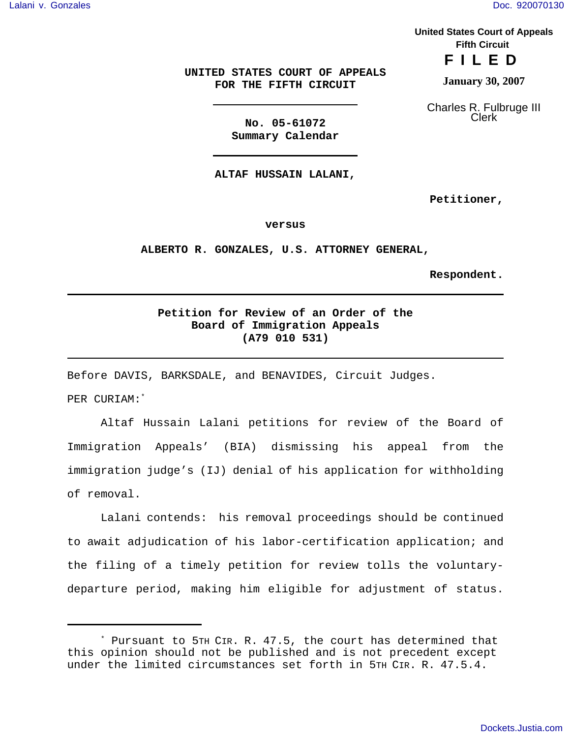**United States Court of Appeals Fifth Circuit**

**FILED**

**January 30, 2007**

Charles R. Fulbruge III Clerk

**UNITED STATES COURT OF APPEALS FOR THE FIFTH CIRCUIT**

> **No. 05-61072 Summary Calendar**

**ALTAF HUSSAIN LALANI,**

**Petitioner,**

**versus**

**ALBERTO R. GONZALES, U.S. ATTORNEY GENERAL,**

**Respondent.**

## **Petition for Review of an Order of the Board of Immigration Appeals (A79 010 531)**

Before DAVIS, BARKSDALE, and BENAVIDES, Circuit Judges.

PER CURIAM:\*

Altaf Hussain Lalani petitions for review of the Board of Immigration Appeals' (BIA) dismissing his appeal from the immigration judge's (IJ) denial of his application for withholding of removal.

Lalani contends: his removal proceedings should be continued to await adjudication of his labor-certification application; and the filing of a timely petition for review tolls the voluntarydeparture period, making him eligible for adjustment of status.

<sup>\*</sup> Pursuant to 5TH CIR. R. 47.5, the court has determined that this opinion should not be published and is not precedent except under the limited circumstances set forth in 5TH CIR. R. 47.5.4.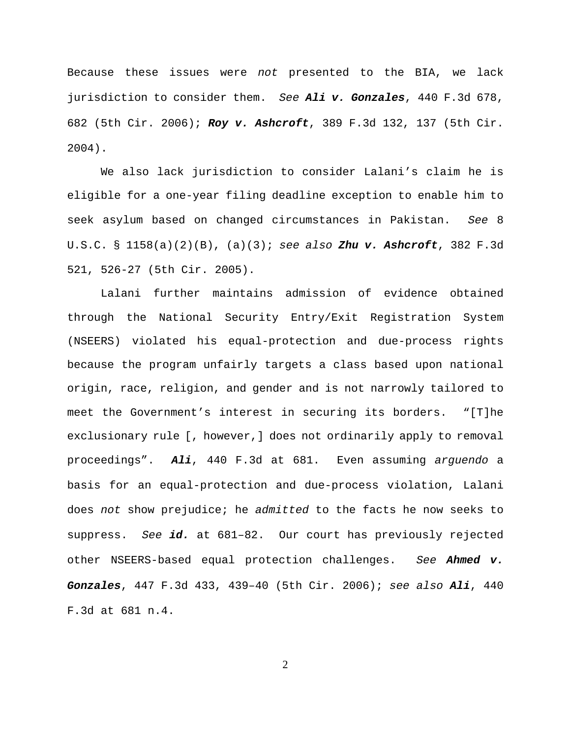Because these issues were *not* presented to the BIA, we lack jurisdiction to consider them. *See Ali v. Gonzales*, 440 F.3d 678, 682 (5th Cir. 2006); *Roy v. Ashcroft*, 389 F.3d 132, 137 (5th Cir. 2004).

We also lack jurisdiction to consider Lalani's claim he is eligible for a one-year filing deadline exception to enable him to seek asylum based on changed circumstances in Pakistan. *See* 8 U.S.C. § 1158(a)(2)(B), (a)(3); *see also Zhu v. Ashcroft*, 382 F.3d 521, 526-27 (5th Cir. 2005).

Lalani further maintains admission of evidence obtained through the National Security Entry/Exit Registration System (NSEERS) violated his equal-protection and due-process rights because the program unfairly targets a class based upon national origin, race, religion, and gender and is not narrowly tailored to meet the Government's interest in securing its borders. "[T]he exclusionary rule [, however,] does not ordinarily apply to removal proceedings". *Ali*, 440 F.3d at 681. Even assuming *arguendo* a basis for an equal-protection and due-process violation, Lalani does *not* show prejudice; he *admitted* to the facts he now seeks to suppress. *See id.* at 681–82. Our court has previously rejected other NSEERS-based equal protection challenges. *See Ahmed v. Gonzales*, 447 F.3d 433, 439–40 (5th Cir. 2006); *see also Ali*, 440 F.3d at 681 n.4.

2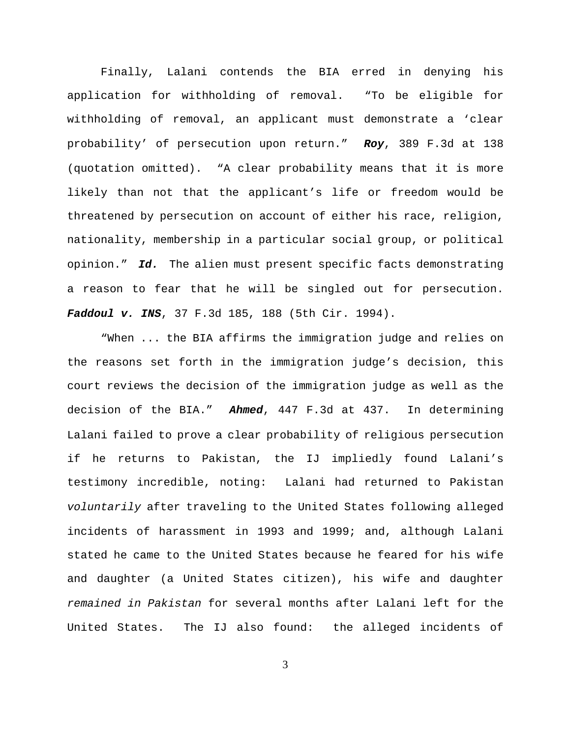Finally, Lalani contends the BIA erred in denying his application for withholding of removal. "To be eligible for withholding of removal, an applicant must demonstrate a 'clear probability' of persecution upon return." *Roy*, 389 F.3d at 138 (quotation omitted). "A clear probability means that it is more likely than not that the applicant's life or freedom would be threatened by persecution on account of either his race, religion, nationality, membership in a particular social group, or political opinion." *Id.* The alien must present specific facts demonstrating a reason to fear that he will be singled out for persecution. *Faddoul v. INS*, 37 F.3d 185, 188 (5th Cir. 1994).

"When ... the BIA affirms the immigration judge and relies on the reasons set forth in the immigration judge's decision, this court reviews the decision of the immigration judge as well as the decision of the BIA." *Ahmed*, 447 F.3d at 437. In determining Lalani failed to prove a clear probability of religious persecution if he returns to Pakistan, the IJ impliedly found Lalani's testimony incredible, noting: Lalani had returned to Pakistan *voluntarily* after traveling to the United States following alleged incidents of harassment in 1993 and 1999; and, although Lalani stated he came to the United States because he feared for his wife and daughter (a United States citizen), his wife and daughter *remained in Pakistan* for several months after Lalani left for the United States. The IJ also found: the alleged incidents of

3